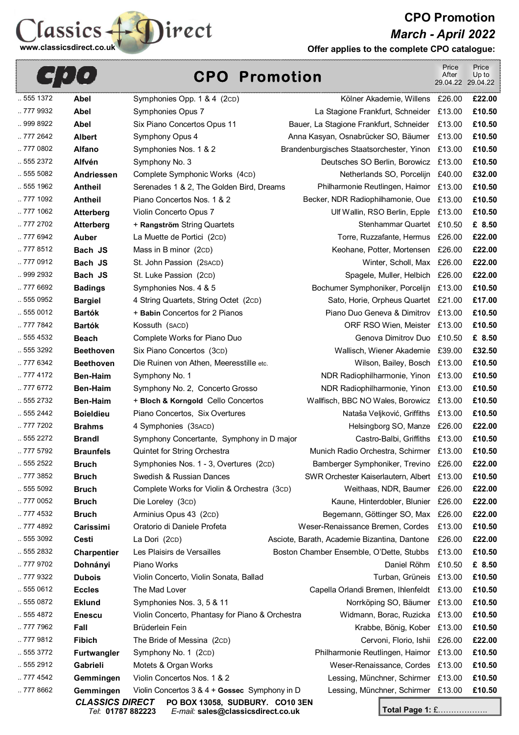**CPO Promotion**  *March - April 2022* 



**Offer applies to the complete CPO catalogue:** 

|                      | <u>[•,</u>                          |                                                                                  | <b>CPO Promotion</b> |                                                 | Price<br>After | Price<br>Up to<br>29.04.22 29.04.22 |
|----------------------|-------------------------------------|----------------------------------------------------------------------------------|----------------------|-------------------------------------------------|----------------|-------------------------------------|
| 555 1372             | <b>Abel</b>                         | Symphonies Opp. 1 & 4 (2cD)                                                      |                      | Kölner Akademie, Willens £26.00                 |                | £22.00                              |
| . 777 9932           | <b>Abel</b>                         | Symphonies Opus 7                                                                |                      | La Stagione Frankfurt, Schneider £13.00         |                | £10.50                              |
| 999 8922             | <b>Abel</b>                         | Six Piano Concertos Opus 11                                                      |                      | Bauer, La Stagione Frankfurt, Schneider         | £13.00         | £10.50                              |
| 777 2642             | <b>Albert</b>                       | Symphony Opus 4                                                                  |                      | Anna Kasyan, Osnabrücker SO, Bäumer £13.00      |                | £10.50                              |
| 777 0802             | <b>Alfano</b>                       | Symphonies Nos. 1 & 2                                                            |                      | Brandenburgisches Staatsorchester, Yinon £13.00 |                | £10.50                              |
| 555 2372             | <b>Alfvén</b>                       | Symphony No. 3                                                                   |                      | Deutsches SO Berlin, Borowicz £13.00            |                | £10.50                              |
| 555 5082             | <b>Andriessen</b>                   | Complete Symphonic Works (4cD)                                                   |                      | Netherlands SO, Porcelijn £40.00                |                | £32.00                              |
| 555 1962             | <b>Antheil</b>                      | Serenades 1 & 2, The Golden Bird, Dreams                                         |                      | Philharmonie Reutlingen, Haimor £13.00          |                | £10.50                              |
| 777 1092             | <b>Antheil</b>                      | Piano Concertos Nos. 1 & 2                                                       |                      | Becker, NDR Radiophilhamonie, Oue £13.00        |                | £10.50                              |
| 777 1062             | <b>Atterberg</b>                    | Violin Concerto Opus 7                                                           |                      | Ulf Wallin, RSO Berlin, Epple £13.00            |                | £10.50                              |
| 777 2702             | <b>Atterberg</b>                    | + Rangström String Quartets                                                      |                      | Stenhammar Quartet £10.50                       |                | £ 8.50                              |
| 777 6942             | <b>Auber</b>                        | La Muette de Portici (2cD)                                                       |                      | Torre, Ruzzafante, Hermus £26.00                |                | £22.00                              |
| 777 8512             | Bach JS                             | Mass in B minor (2cD)                                                            |                      | Keohane, Potter, Mortensen £26.00               |                | £22.00                              |
| 777 0912             | Bach JS                             | St. John Passion (2SACD)                                                         |                      | Winter, Scholl, Max £26.00                      |                | £22.00                              |
| 999 2932             | Bach JS                             | St. Luke Passion (2cD)                                                           |                      | Spagele, Muller, Helbich £26.00                 |                | £22.00                              |
| 777 6692             | <b>Badings</b>                      | Symphonies Nos. 4 & 5                                                            |                      | Bochumer Symphoniker, Porcelijn £13.00          |                | £10.50                              |
| 555 0952             | <b>Bargiel</b>                      | 4 String Quartets, String Octet (2cD)                                            |                      | Sato, Horie, Orpheus Quartet £21.00             |                | £17.00                              |
| .5550012             | <b>Bartók</b>                       | + Babin Concertos for 2 Pianos                                                   |                      | Piano Duo Geneva & Dimitrov £13.00              |                | £10.50                              |
| 777 7842             | <b>Bartók</b>                       | Kossuth (SACD)                                                                   |                      | ORF RSO Wien, Meister £13.00                    |                | £10.50                              |
| 555 4532             | <b>Beach</b>                        | Complete Works for Piano Duo                                                     |                      | Genova Dimitrov Duo £10.50                      |                | £ 8.50                              |
| 555 3292             | <b>Beethoven</b>                    | Six Piano Concertos (3cD)                                                        |                      | Wallisch, Wiener Akademie £39.00                |                | £32.50                              |
| 777 6342             | <b>Beethoven</b>                    | Die Ruinen von Athen, Meeresstille etc.                                          |                      | Wilson, Bailey, Bosch £13.00                    |                | £10.50                              |
| 777 4172             | <b>Ben-Haim</b>                     | Symphony No. 1                                                                   |                      | NDR Radiophilharmonie, Yinon £13.00             |                | £10.50                              |
| 777 6772             | <b>Ben-Haim</b>                     | Symphony No. 2, Concerto Grosso                                                  |                      | NDR Radiophilharmonie, Yinon £13.00             |                | £10.50                              |
| 555 2732             | <b>Ben-Haim</b>                     | + Bloch & Korngold Cello Concertos                                               |                      | Wallfisch, BBC NO Wales, Borowicz £13.00        |                | £10.50                              |
| 555 2442             | <b>Boieldieu</b>                    | Piano Concertos, Six Overtures                                                   |                      | Nataša Veljković, Griffiths £13.00              |                | £10.50                              |
| 777 7202             | <b>Brahms</b>                       | 4 Symphonies (3 SACD)                                                            |                      | Helsingborg SO, Manze £26.00                    |                | £22.00                              |
| 555 2272             | <b>Brandl</b>                       | Symphony Concertante, Symphony in D major                                        |                      | Castro-Balbi, Griffiths £13.00                  |                | £10.50                              |
| 777 5792             | <b>Braunfels</b>                    | Quintet for String Orchestra                                                     |                      | Munich Radio Orchestra, Schirmer £13.00         |                | £10.50                              |
| 555 2522             | <b>Bruch</b>                        | Symphonies Nos. 1 - 3, Overtures (2cD)                                           |                      | Bamberger Symphoniker, Trevino £26.00           |                | £22.00                              |
| . 777 3852           | <b>Bruch</b>                        | Swedish & Russian Dances                                                         |                      | SWR Orchester Kaiserlautern, Albert £13.00      |                | £10.50                              |
| 555 5092             | <b>Bruch</b>                        | Complete Works for Violin & Orchestra (3cD)                                      |                      | Weithaas, NDR, Baumer £26.00                    |                | £22.00                              |
| 777 0052             | <b>Bruch</b>                        | Die Loreley (3CD)                                                                |                      | Kaune, Hinterdobler, Blunier £26.00             |                | £22.00                              |
| 777 4532             | <b>Bruch</b>                        | Arminius Opus 43 (2cD)                                                           |                      | Begemann, Göttinger SO, Max £26.00              |                | £22.00                              |
| . 777 4892           | Carissimi                           | Oratorio di Daniele Profeta                                                      |                      | Weser-Renaissance Bremen, Cordes                | £13.00         | £10.50                              |
| 555 3092             | Cesti                               | La Dori (2CD)                                                                    |                      | Asciote, Barath, Academie Bizantina, Dantone    | £26.00         | £22.00                              |
| . 555 2832           | Charpentier                         | Les Plaisirs de Versailles                                                       |                      | Boston Chamber Ensemble, O'Dette, Stubbs        | £13.00         | £10.50                              |
| . 777 9702           | Dohnányi                            | Piano Works                                                                      |                      | Daniel Röhm £10.50                              |                | £ 8.50                              |
| 777 9322             | <b>Dubois</b>                       | Violin Concerto, Violin Sonata, Ballad                                           |                      | Turban, Grüneis £13.00                          |                | £10.50                              |
| . 555 0612           | <b>Eccles</b>                       | The Mad Lover                                                                    |                      | Capella Orlandi Bremen, Ihlenfeldt £13.00       |                | £10.50                              |
| 555 0872             | <b>Eklund</b>                       | Symphonies Nos. 3, 5 & 11                                                        |                      | Norrköping SO, Bäumer £13.00                    |                | £10.50                              |
| 555 4872             | <b>Enescu</b>                       | Violin Concerto, Phantasy for Piano & Orchestra                                  |                      | Widmann, Borac, Ruzicka £13.00                  |                | £10.50                              |
| . 777 7962           | Fall                                | Brüderlein Fein                                                                  |                      | Krabbe, Bönig, Kober £13.00                     |                | £10.50                              |
| . 777 9812           | <b>Fibich</b>                       | The Bride of Messina (2cD)                                                       |                      | Cervoni, Florio, Ishii £26.00                   |                | £22.00                              |
| 555 3772             | <b>Furtwangler</b>                  | Symphony No. 1 (2CD)                                                             |                      | Philharmonie Reutlingen, Haimor £13.00          |                | £10.50                              |
| 555 2912             | Gabrieli                            | Motets & Organ Works                                                             |                      | Weser-Renaissance, Cordes £13.00                |                | £10.50                              |
| 777 4542<br>777 8662 | Gemmingen                           | Violin Concertos Nos. 1 & 2                                                      |                      | Lessing, Münchner, Schirmer £13.00              |                | £10.50                              |
|                      | Gemmingen<br><b>CLASSICS DIRECT</b> | Violin Concertos 3 & 4 + Gossec Symphony in D<br>PO BOX 13058, SUDBURY. CO10 3EN |                      | Lessing, Münchner, Schirmer £13.00              |                | £10.50                              |

*Tel*: **01787 882223** *E-mail:* **sales@classicsdirect.co.uk**

**Total Page 1:** £……………….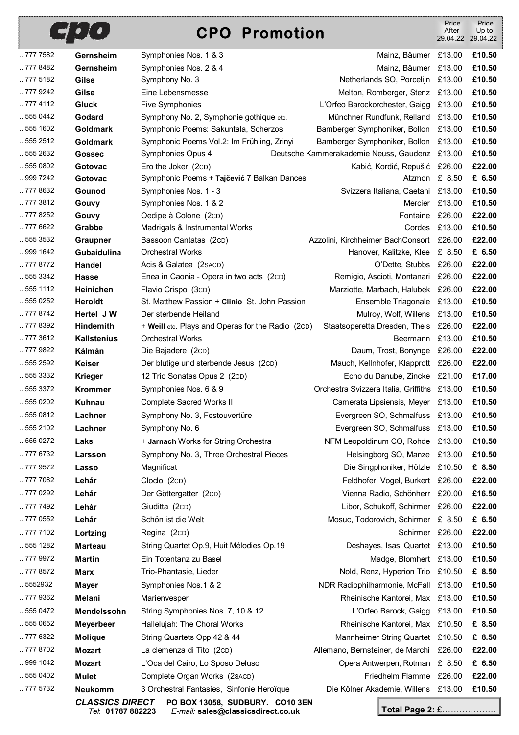## **CPO Promotion**

|          | <b>LET PLACE</b>       | <b>CPO Promotion</b>                              |                                               | After         | Up to<br>29.04.22 29.04.22 |
|----------|------------------------|---------------------------------------------------|-----------------------------------------------|---------------|----------------------------|
| 777 7582 | Gernsheim              | Symphonies Nos. 1 & 3                             | Mainz, Bäumer £13.00                          |               | £10.50                     |
| 777 8482 | Gernsheim              | Symphonies Nos. 2 & 4                             | Mainz, Bäumer £13.00                          |               | £10.50                     |
| 777 5182 | Gilse                  | Symphony No. 3                                    | Netherlands SO, Porcelijn £13.00              |               | £10.50                     |
| 777 9242 | Gilse                  | Eine Lebensmesse                                  | Melton, Romberger, Stenz £13.00               |               | £10.50                     |
| .7774112 | <b>Gluck</b>           | Five Symphonies                                   | L'Orfeo Barockorchester, Gaigg £13.00         |               | £10.50                     |
| .5550442 | Godard                 | Symphony No. 2, Symphonie gothique etc.           | Münchner Rundfunk, Relland £13.00             |               | £10.50                     |
| 555 1602 | Goldmark               | Symphonic Poems: Sakuntala, Scherzos              | Bamberger Symphoniker, Bollon £13.00          |               | £10.50                     |
| .5552512 | <b>Goldmark</b>        | Symphonic Poems Vol.2: Im Frühling, Zrinyi        | Bamberger Symphoniker, Bollon £13.00          |               | £10.50                     |
| 555 2632 | Gossec                 | Symphonies Opus 4                                 | Deutsche Kammerakademie Neuss, Gaudenz £13.00 |               | £10.50                     |
| .5550802 | Gotovac                | Ero the Joker (2CD)                               | Kabić, Kordić, Repušić £26.00                 |               | £22.00                     |
| 999 7242 | Gotovac                | Symphonic Poems + Tajčević 7 Balkan Dances        | Atzmon £ 8.50                                 |               | £ 6.50                     |
| 777 8632 | Gounod                 | Symphonies Nos. 1 - 3                             | Svizzera Italiana, Caetani £13.00             |               | £10.50                     |
| 777 3812 | Gouvy                  | Symphonies Nos. 1 & 2                             | Mercier £13.00                                |               | £10.50                     |
| .7778252 | Gouvy                  | Oedipe à Colone (2cD)                             | Fontaine £26.00                               |               | £22.00                     |
| 777 6622 | Grabbe                 | Madrigals & Instrumental Works                    |                                               | Cordes £13.00 | £10.50                     |
| 555 3532 | <b>Graupner</b>        | Bassoon Cantatas (2cD)                            | Azzolini, Kirchheimer BachConsort £26.00      |               | £22.00                     |
| 999 1642 | Gubaidulina            | <b>Orchestral Works</b>                           | Hanover, Kalitzke, Klee £ 8.50                |               | £ 6.50                     |
| 777 8772 | Handel                 | Acis & Galatea (2 SACD)                           | O'Dette, Stubbs £26.00                        |               | £22.00                     |
| 555 3342 | <b>Hasse</b>           | Enea in Caonia - Opera in two acts (2cD)          | Remigio, Ascioti, Montanari £26.00            |               | £22.00                     |
| .5551112 | Heinichen              | Flavio Crispo (3cD)                               | Marziotte, Marbach, Halubek £26.00            |               | £22.00                     |
| .5550252 | Heroldt                | St. Matthew Passion + Clinio St. John Passion     | Ensemble Triagonale £13.00                    |               | £10.50                     |
| 777 8742 | Hertel J W             | Der sterbende Heiland                             | Mulroy, Wolf, Willens £13.00                  |               | £10.50                     |
| 777 8392 | Hindemith              | + Weill etc. Plays and Operas for the Radio (2cD) | Staatsoperetta Dresden, Theis £26.00          |               | £22.00                     |
| 777 3612 | <b>Kallstenius</b>     | <b>Orchestral Works</b>                           | Beermann £13.00                               |               | £10.50                     |
| 777 9822 | Kálmán                 | Die Bajadere (2cD)                                | Daum, Trost, Bonynge £26.00                   |               | £22.00                     |
| 555 2592 | <b>Keiser</b>          | Der blutige und sterbende Jesus (2CD)             | Mauch, Kellnhofer, Klapprott £26.00           |               | £22.00                     |
| .5553332 | <b>Krieger</b>         | 12 Trio Sonatas Opus 2 (2cD)                      | Echo du Danube, Zincke £21.00                 |               | £17.00                     |
| .5553372 | <b>Krommer</b>         | Symphonies Nos. 6 & 9                             | Orchestra Svizzera Italia, Griffiths £13.00   |               | £10.50                     |
| .5550202 | <b>Kuhnau</b>          | <b>Complete Sacred Works II</b>                   | Camerata Lipsiensis, Meyer £13.00             |               | £10.50                     |
| 555 0812 | Lachner                | Symphony No. 3, Festouvertüre                     | Evergreen SO, Schmalfuss £13.00               |               | £10.50                     |
| .5552102 | Lachner                | Symphony No. 6                                    | Evergreen SO, Schmalfuss £13.00               |               | £10.50                     |
| .5550272 | Laks                   | + Jarnach Works for String Orchestra              | NFM Leopoldinum CO, Rohde £13.00              |               | £10.50                     |
| 777 6732 | Larsson                | Symphony No. 3, Three Orchestral Pieces           | Helsingborg SO, Manze £13.00                  |               | £10.50                     |
| .7779572 | Lasso                  | Magnificat                                        | Die Singphoniker, Hölzle £10.50               |               | £ 8.50                     |
| 777 7082 | Lehár                  | Cloclo (2cD)                                      | Feldhofer, Vogel, Burkert £26.00              |               | £22.00                     |
| 777 0292 | Lehár                  | Der Göttergatter (2cD)                            | Vienna Radio, Schönherr £20.00                |               | £16.50                     |
| 777 7492 | Lehár                  | Giuditta (2cD)                                    | Libor, Schukoff, Schirmer £26.00              |               | £22.00                     |
| .7770552 | Lehár                  | Schön ist die Welt                                | Mosuc, Todorovich, Schirmer £ 8.50            |               | £ 6.50                     |
| 777 7102 | Lortzing               | Regina (2cD)                                      | Schirmer £26.00                               |               | £22.00                     |
| 555 1282 | <b>Marteau</b>         | String Quartet Op.9, Huit Mélodies Op.19          | Deshayes, Isasi Quartet £13.00                |               | £10.50                     |
| 777 9972 | <b>Martin</b>          | Ein Totentanz zu Basel                            | Madge, Blomhert £13.00                        |               | £10.50                     |
| 777 8572 | <b>Marx</b>            | Trio-Phantasie, Lieder                            | Nold, Renz, Hyperion Trio £10.50              |               | £ 8.50                     |
| .5552932 | Mayer                  | Symphonies Nos.1 & 2                              | NDR Radiophilharmonie, McFall £13.00          |               | £10.50                     |
| 777 9362 | Melani                 | Marienvesper                                      | Rheinische Kantorei, Max £13.00               |               | £10.50                     |
| .5550472 | Mendelssohn            | String Symphonies Nos. 7, 10 & 12                 | L'Orfeo Barock, Gaigg £13.00                  |               | £10.50                     |
| .5550652 | <b>Meyerbeer</b>       | Hallelujah: The Choral Works                      | Rheinische Kantorei, Max £10.50               |               | £ 8.50                     |
| 777 6322 | <b>Molique</b>         | String Quartets Opp.42 & 44                       | Mannheimer String Quartet £10.50              |               | £ 8.50                     |
| 777 8702 | <b>Mozart</b>          | La clemenza di Tito (2cD)                         | Allemano, Bernsteiner, de Marchi £26.00       |               | £22.00                     |
| 999 1042 | <b>Mozart</b>          | L'Oca del Cairo, Lo Sposo Deluso                  | Opera Antwerpen, Rotman £ 8.50                |               | £ 6.50                     |
| 555 0402 | Mulet                  | Complete Organ Works (2sACD)                      | Friedhelm Flamme £26.00                       |               | £22.00                     |
| 777 5732 | <b>Neukomm</b>         | 3 Orchestral Fantasies, Sinfonie Heroïque         | Die Kölner Akademie, Willens £13.00           |               | £10.50                     |
|          | <b>CLASSICS DIRECT</b> | PO BOX 13058, SUDBURY. CO10 3EN                   |                                               |               |                            |
|          | Tel: 01787 882223      | E-mail: sales@classicsdirect.co.uk                | Total Page 2: £                               |               |                            |

PHA

Price

Price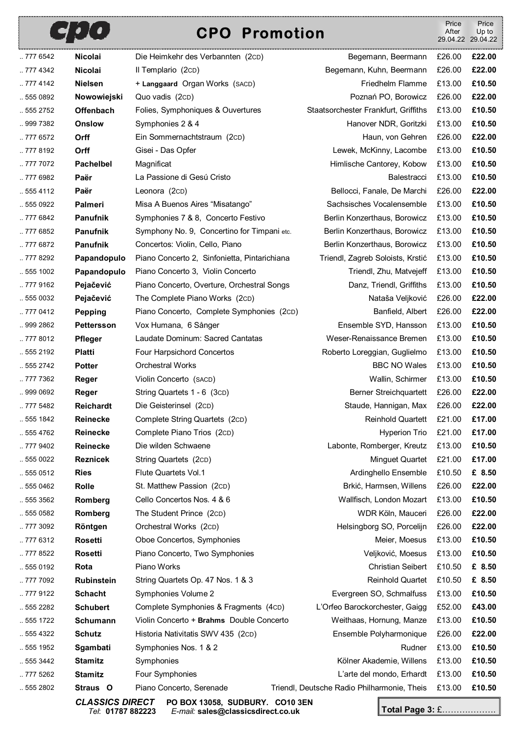## rnn

## **CPO Promotion**

|          | E LL C            | <b>CPO Promotion</b>                         |                                             | After  | Up to<br>29.04.22 29.04.22 |
|----------|-------------------|----------------------------------------------|---------------------------------------------|--------|----------------------------|
| 777 6542 | <b>Nicolai</b>    | Die Heimkehr des Verbannten (2cD)            | Begemann, Beermann                          | £26.00 | £22.00                     |
| 777 4342 | Nicolai           | Il Templario (2cD)                           | Begemann, Kuhn, Beermann                    | £26.00 | £22.00                     |
| .7774142 | <b>Nielsen</b>    | + Langgaard Organ Works (SACD)               | Friedhelm Flamme                            | £13.00 | £10.50                     |
| 555 0892 | Nowowiejski       | Quo vadis (2CD)                              | Poznań PO, Borowicz                         | £26.00 | £22.00                     |
| 555 2752 | <b>Offenbach</b>  | Folies, Symphoniques & Ouvertures            | Staatsorchester Frankfurt, Griffiths        | £13.00 | £10.50                     |
| 999 7382 | <b>Onslow</b>     | Symphonies 2 & 4                             | Hanover NDR, Goritzki                       | £13.00 | £10.50                     |
| .7776572 | Orff              | Ein Sommernachtstraum (2cD)                  | Haun, von Gehren                            | £26.00 | £22.00                     |
| .7778192 | Orff              | Gisei - Das Opfer                            | Lewek, McKinny, Lacombe                     | £13.00 | £10.50                     |
| 777 7072 | <b>Pachelbel</b>  | Magnificat                                   | Himlische Cantorey, Kobow                   | £13.00 | £10.50                     |
| 777 6982 | Paër              | La Passione di Gesú Cristo                   | Balestracci                                 | £13.00 | £10.50                     |
| 555 4112 | Paër              | Leonora (2CD)                                | Bellocci, Fanale, De Marchi                 | £26.00 | £22.00                     |
| .5550922 | Palmeri           | Misa A Buenos Aires "Misatango"              | Sachsisches Vocalensemble                   | £13.00 | £10.50                     |
| 777 6842 | Panufnik          | Symphonies 7 & 8, Concerto Festivo           | Berlin Konzerthaus, Borowicz                | £13.00 | £10.50                     |
| .7776852 | <b>Panufnik</b>   | Symphony No. 9, Concertino for Timpani etc.  | Berlin Konzerthaus, Borowicz                | £13.00 | £10.50                     |
| 777 6872 | <b>Panufnik</b>   | Concertos: Violin, Cello, Piano              | Berlin Konzerthaus, Borowicz                | £13.00 | £10.50                     |
| .7778292 | Papandopulo       | Piano Concerto 2, Sinfonietta, Pintarichiana | Triendl, Zagreb Soloists, Krstić            | £13.00 | £10.50                     |
| .5551002 | Papandopulo       | Piano Concerto 3, Violin Concerto            | Triendl, Zhu, Matvejeff                     | £13.00 | £10.50                     |
| 777 9162 | Pejačević         | Piano Concerto, Overture, Orchestral Songs   | Danz, Triendl, Griffiths                    | £13.00 | £10.50                     |
| .5550032 | Pejačević         | The Complete Piano Works (2cD)               | Nataša Veljković                            | £26.00 | £22.00                     |
| 777 0412 | <b>Pepping</b>    | Piano Concerto, Complete Symphonies (2cD)    | Banfield, Albert                            | £26.00 | £22.00                     |
| 999 2862 | Pettersson        | Vox Humana, 6 Sånger                         | Ensemble SYD, Hansson                       | £13.00 | £10.50                     |
| 777 8012 | <b>Pfleger</b>    | Laudate Dominum: Sacred Cantatas             | Weser-Renaissance Bremen                    | £13.00 | £10.50                     |
| 555 2192 | <b>Platti</b>     | Four Harpsichord Concertos                   | Roberto Loreggian, Guglielmo                | £13.00 | £10.50                     |
| .5552742 | <b>Potter</b>     | <b>Orchestral Works</b>                      | <b>BBC NO Wales</b>                         | £13.00 | £10.50                     |
| 777 7362 | Reger             | Violin Concerto (SACD)                       | Wallin, Schirmer                            | £13.00 | £10.50                     |
| 999 0692 | Reger             | String Quartets 1 - 6 (3cD)                  | <b>Berner Streichquartett</b>               | £26.00 | £22.00                     |
| 777 5482 | Reichardt         | Die Geisterinsel (2cD)                       | Staude, Hannigan, Max                       | £26.00 | £22.00                     |
| 555 1842 | Reinecke          | Complete String Quartets (2cD)               | Reinhold Quartett £21.00                    |        | £17.00                     |
| 555 4762 | <b>Reinecke</b>   | Complete Piano Trios (2cD)                   | Hyperion Trio                               | £21.00 | £17.00                     |
| 777 9402 | <b>Reinecke</b>   | Die wilden Schwaene                          | Labonte, Romberger, Kreutz                  | £13.00 | £10.50                     |
| .5550022 | <b>Reznicek</b>   | String Quartets (2cD)                        | Minguet Quartet                             | £21.00 | £17.00                     |
| .5550512 | <b>Ries</b>       | Flute Quartets Vol.1                         | Ardinghello Ensemble                        | £10.50 | £ 8.50                     |
| 555 0462 | Rolle             | St. Matthew Passion (2cD)                    | Brkić, Harmsen, Willens                     | £26.00 | £22.00                     |
| 555 3562 | Romberg           | Cello Concertos Nos. 4 & 6                   | Wallfisch, London Mozart                    | £13.00 | £10.50                     |
| .5550582 | Romberg           | The Student Prince (2cD)                     | WDR Köln, Mauceri                           | £26.00 | £22.00                     |
| 777 3092 | Röntgen           | Orchestral Works (2cD)                       | Helsingborg SO, Porcelijn                   | £26.00 | £22.00                     |
| 777 6312 | <b>Rosetti</b>    | Oboe Concertos, Symphonies                   | Meier, Moesus                               | £13.00 | £10.50                     |
| 777 8522 | <b>Rosetti</b>    | Piano Concerto, Two Symphonies               | Veljković, Moesus                           | £13.00 | £10.50                     |
| 555 0192 | Rota              | Piano Works                                  | <b>Christian Seibert</b>                    | £10.50 | £ 8.50                     |
| 777 7092 | <b>Rubinstein</b> | String Quartets Op. 47 Nos. 1 & 3            | Reinhold Quartet                            | £10.50 | £ 8.50                     |
| 777 9122 | <b>Schacht</b>    | Symphonies Volume 2                          | Evergreen SO, Schmalfuss                    | £13.00 | £10.50                     |
| 555 2282 | <b>Schubert</b>   | Complete Symphonies & Fragments (4cD)        | L'Orfeo Barockorchester, Gaigg              | £52.00 | £43.00                     |
| .5551722 | Schumann          | Violin Concerto + Brahms Double Concerto     | Weithaas, Hornung, Manze                    | £13.00 | £10.50                     |
| .5554322 | <b>Schutz</b>     | Historia Nativitatis SWV 435 (2cD)           | Ensemble Polyharmonique                     | £26.00 | £22.00                     |
| 555 1952 | Sgambati          | Symphonies Nos. 1 & 2                        | Rudner                                      | £13.00 | £10.50                     |
| 555 3442 | <b>Stamitz</b>    | Symphonies                                   | Kölner Akademie, Willens                    | £13.00 | £10.50                     |
| 777 5262 | <b>Stamitz</b>    | Four Symphonies                              | L'arte del mondo, Erhardt                   | £13.00 | £10.50                     |
| 555 2802 | Straus O          | Piano Concerto, Serenade                     | Triendl, Deutsche Radio Philharmonie, Theis | £13.00 | £10.50                     |

*CLASSICS DIRECT* **PO BOX 13058, SUDBURY. CO10 3EN**  *Tel*: **01787 882223** *E-mail:* **sales@classicsdirect.co.uk Total Page 3:** £……………….

Price

Price